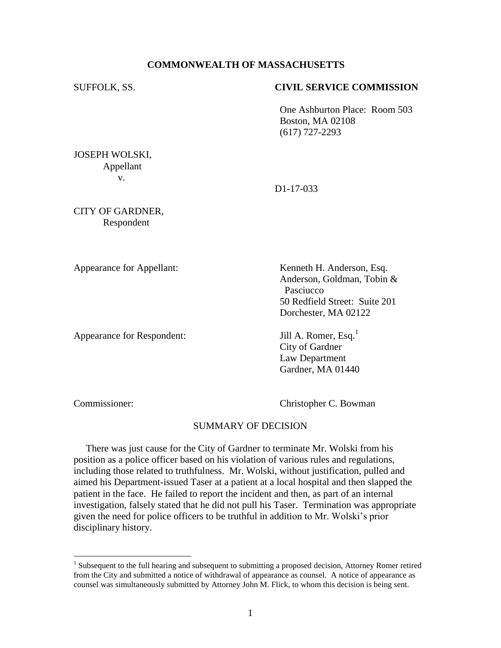# **COMMONWEALTH OF MASSACHUSETTS**

### SUFFOLK, SS. **CIVIL SERVICE COMMISSION**

One Ashburton Place: Room 503 Boston, MA 02108 (617) 727-2293

JOSEPH WOLSKI, Appellant v.

D1-17-033

CITY OF GARDNER, Respondent

Appearance for Respondent: Jill A. Romer, Esq.<sup>1</sup>

Appearance for Appellant: Kenneth H. Anderson, Esq. Anderson, Goldman, Tobin & **Pasciucco** 50 Redfield Street: Suite 201 Dorchester, MA 02122

> City of Gardner Law Department Gardner, MA 01440

 $\overline{a}$ 

Commissioner: Christopher C. Bowman

# SUMMARY OF DECISION

 There was just cause for the City of Gardner to terminate Mr. Wolski from his position as a police officer based on his violation of various rules and regulations, including those related to truthfulness. Mr. Wolski, without justification, pulled and aimed his Department-issued Taser at a patient at a local hospital and then slapped the patient in the face. He failed to report the incident and then, as part of an internal investigation, falsely stated that he did not pull his Taser. Termination was appropriate given the need for police officers to be truthful in addition to Mr. Wolski's prior disciplinary history.

<sup>&</sup>lt;sup>1</sup> Subsequent to the full hearing and subsequent to submitting a proposed decision, Attorney Romer retired from the City and submitted a notice of withdrawal of appearance as counsel. A notice of appearance as counsel was simultaneously submitted by Attorney John M. Flick, to whom this decision is being sent.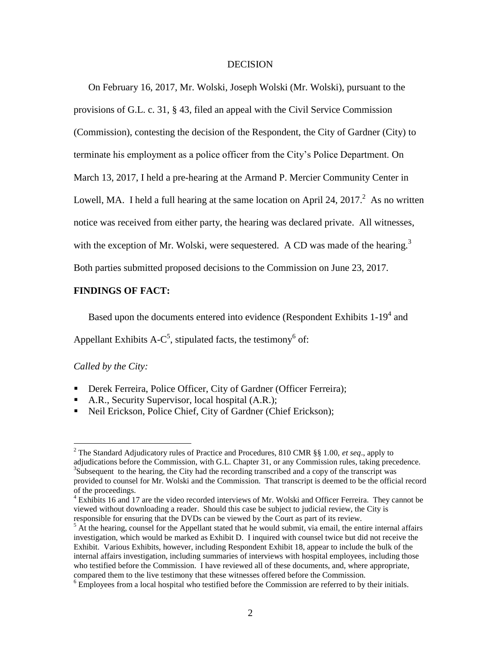#### **DECISION**

On February 16, 2017, Mr. Wolski, Joseph Wolski (Mr. Wolski), pursuant to the provisions of G.L. c. 31, § 43, filed an appeal with the Civil Service Commission (Commission), contesting the decision of the Respondent, the City of Gardner (City) to terminate his employment as a police officer from the City's Police Department. On March 13, 2017, I held a pre-hearing at the Armand P. Mercier Community Center in Lowell, MA. I held a full hearing at the same location on April 24, 2017. $^2$  As no written notice was received from either party, the hearing was declared private. All witnesses, with the exception of Mr. Wolski, were sequestered. A CD was made of the hearing.<sup>3</sup>

Both parties submitted proposed decisions to the Commission on June 23, 2017.

# **FINDINGS OF FACT:**

Based upon the documents entered into evidence (Respondent Exhibits  $1-19<sup>4</sup>$  and

Appellant Exhibits A-C<sup>5</sup>, stipulated facts, the testimony<sup>6</sup> of:

# *Called by the City:*

 $\overline{a}$ 

- Derek Ferreira, Police Officer, City of Gardner (Officer Ferreira);
- A.R., Security Supervisor, local hospital (A.R.);
- Neil Erickson, Police Chief, City of Gardner (Chief Erickson);

<sup>2</sup> The Standard Adjudicatory rules of Practice and Procedures, 810 CMR §§ 1.00, *et seq*., apply to adjudications before the Commission, with G.L. Chapter 31, or any Commission rules, taking precedence.  $3S$ ubsequent to the hearing, the City had the recording transcribed and a copy of the transcript was provided to counsel for Mr. Wolski and the Commission. That transcript is deemed to be the official record of the proceedings.

<sup>&</sup>lt;sup>4</sup> Exhibits 16 and 17 are the video recorded interviews of Mr. Wolski and Officer Ferreira. They cannot be viewed without downloading a reader. Should this case be subject to judicial review, the City is responsible for ensuring that the DVDs can be viewed by the Court as part of its review.

 $<sup>5</sup>$  At the hearing, counsel for the Appellant stated that he would submit, via email, the entire internal affairs</sup> investigation, which would be marked as Exhibit D. I inquired with counsel twice but did not receive the Exhibit. Various Exhibits, however, including Respondent Exhibit 18, appear to include the bulk of the internal affairs investigation, including summaries of interviews with hospital employees, including those who testified before the Commission. I have reviewed all of these documents, and, where appropriate, compared them to the live testimony that these witnesses offered before the Commission.

 $<sup>6</sup>$  Employees from a local hospital who testified before the Commission are referred to by their initials.</sup>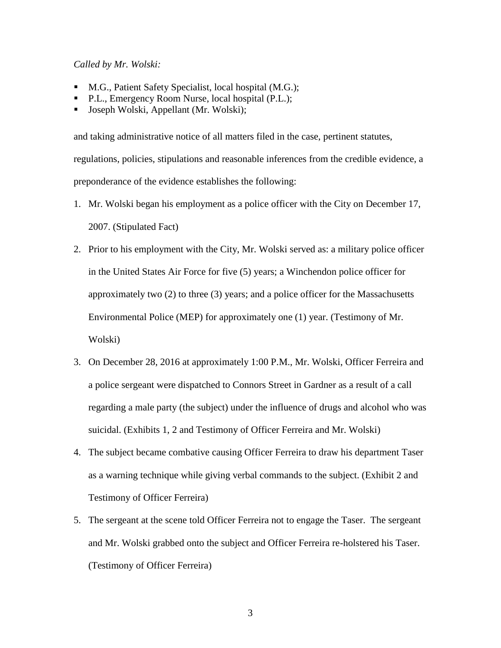*Called by Mr. Wolski:*

- M.G., Patient Safety Specialist, local hospital (M.G.);
- **P.L., Emergency Room Nurse, local hospital (P.L.);**
- Joseph Wolski, Appellant (Mr. Wolski);

and taking administrative notice of all matters filed in the case, pertinent statutes, regulations, policies, stipulations and reasonable inferences from the credible evidence, a preponderance of the evidence establishes the following:

- 1. Mr. Wolski began his employment as a police officer with the City on December 17, 2007. (Stipulated Fact)
- 2. Prior to his employment with the City, Mr. Wolski served as: a military police officer in the United States Air Force for five (5) years; a Winchendon police officer for approximately two (2) to three (3) years; and a police officer for the Massachusetts Environmental Police (MEP) for approximately one (1) year. (Testimony of Mr. Wolski)
- 3. On December 28, 2016 at approximately 1:00 P.M., Mr. Wolski, Officer Ferreira and a police sergeant were dispatched to Connors Street in Gardner as a result of a call regarding a male party (the subject) under the influence of drugs and alcohol who was suicidal. (Exhibits 1, 2 and Testimony of Officer Ferreira and Mr. Wolski)
- 4. The subject became combative causing Officer Ferreira to draw his department Taser as a warning technique while giving verbal commands to the subject. (Exhibit 2 and Testimony of Officer Ferreira)
- 5. The sergeant at the scene told Officer Ferreira not to engage the Taser. The sergeant and Mr. Wolski grabbed onto the subject and Officer Ferreira re-holstered his Taser. (Testimony of Officer Ferreira)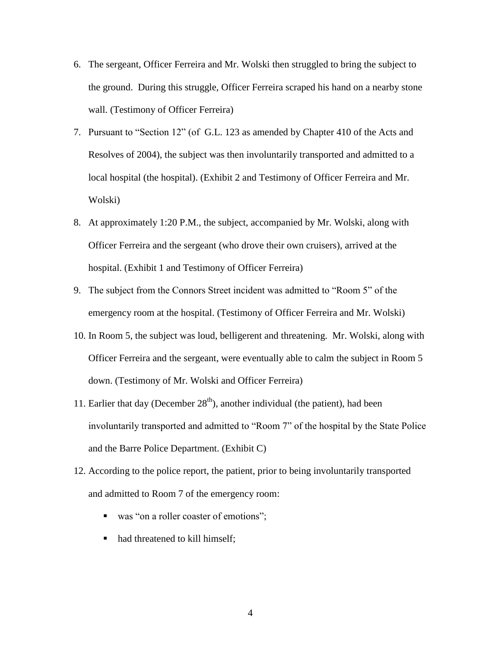- 6. The sergeant, Officer Ferreira and Mr. Wolski then struggled to bring the subject to the ground. During this struggle, Officer Ferreira scraped his hand on a nearby stone wall. (Testimony of Officer Ferreira)
- 7. Pursuant to "Section 12" (of G.L. 123 as amended by Chapter 410 of the Acts and Resolves of 2004), the subject was then involuntarily transported and admitted to a local hospital (the hospital). (Exhibit 2 and Testimony of Officer Ferreira and Mr. Wolski)
- 8. At approximately 1:20 P.M., the subject, accompanied by Mr. Wolski, along with Officer Ferreira and the sergeant (who drove their own cruisers), arrived at the hospital. (Exhibit 1 and Testimony of Officer Ferreira)
- 9. The subject from the Connors Street incident was admitted to "Room 5" of the emergency room at the hospital. (Testimony of Officer Ferreira and Mr. Wolski)
- 10. In Room 5, the subject was loud, belligerent and threatening. Mr. Wolski, along with Officer Ferreira and the sergeant, were eventually able to calm the subject in Room 5 down. (Testimony of Mr. Wolski and Officer Ferreira)
- 11. Earlier that day (December  $28<sup>th</sup>$ ), another individual (the patient), had been involuntarily transported and admitted to "Room 7" of the hospital by the State Police and the Barre Police Department. (Exhibit C)
- 12. According to the police report, the patient, prior to being involuntarily transported and admitted to Room 7 of the emergency room:
	- was "on a roller coaster of emotions";
	- had threatened to kill himself;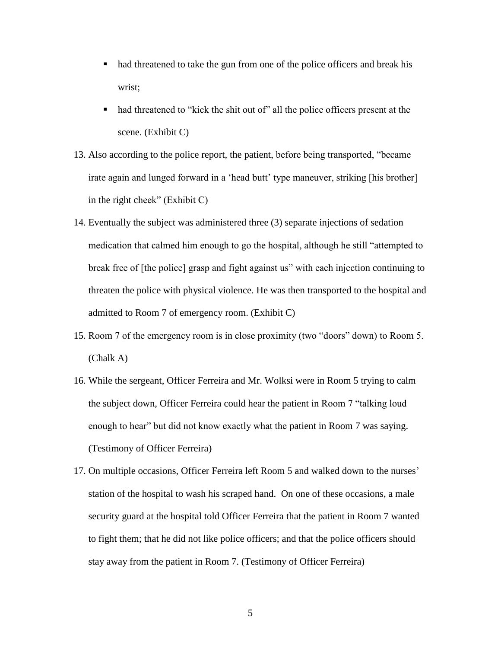- had threatened to take the gun from one of the police officers and break his wrist;
- had threatened to "kick the shit out of" all the police officers present at the scene. (Exhibit C)
- 13. Also according to the police report, the patient, before being transported, "became irate again and lunged forward in a 'head butt' type maneuver, striking [his brother] in the right cheek" (Exhibit C)
- 14. Eventually the subject was administered three (3) separate injections of sedation medication that calmed him enough to go the hospital, although he still "attempted to break free of [the police] grasp and fight against us" with each injection continuing to threaten the police with physical violence. He was then transported to the hospital and admitted to Room 7 of emergency room. (Exhibit C)
- 15. Room 7 of the emergency room is in close proximity (two "doors" down) to Room 5. (Chalk A)
- 16. While the sergeant, Officer Ferreira and Mr. Wolksi were in Room 5 trying to calm the subject down, Officer Ferreira could hear the patient in Room 7 "talking loud enough to hear" but did not know exactly what the patient in Room 7 was saying. (Testimony of Officer Ferreira)
- 17. On multiple occasions, Officer Ferreira left Room 5 and walked down to the nurses' station of the hospital to wash his scraped hand. On one of these occasions, a male security guard at the hospital told Officer Ferreira that the patient in Room 7 wanted to fight them; that he did not like police officers; and that the police officers should stay away from the patient in Room 7. (Testimony of Officer Ferreira)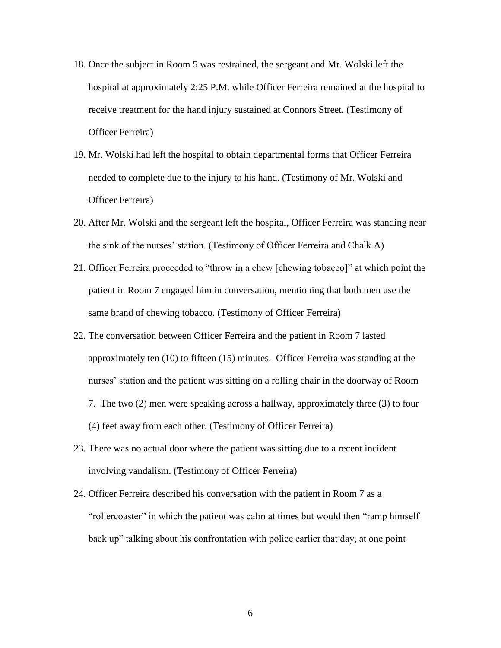- 18. Once the subject in Room 5 was restrained, the sergeant and Mr. Wolski left the hospital at approximately 2:25 P.M. while Officer Ferreira remained at the hospital to receive treatment for the hand injury sustained at Connors Street. (Testimony of Officer Ferreira)
- 19. Mr. Wolski had left the hospital to obtain departmental forms that Officer Ferreira needed to complete due to the injury to his hand. (Testimony of Mr. Wolski and Officer Ferreira)
- 20. After Mr. Wolski and the sergeant left the hospital, Officer Ferreira was standing near the sink of the nurses' station. (Testimony of Officer Ferreira and Chalk A)
- 21. Officer Ferreira proceeded to "throw in a chew [chewing tobacco]" at which point the patient in Room 7 engaged him in conversation, mentioning that both men use the same brand of chewing tobacco. (Testimony of Officer Ferreira)
- 22. The conversation between Officer Ferreira and the patient in Room 7 lasted approximately ten (10) to fifteen (15) minutes. Officer Ferreira was standing at the nurses' station and the patient was sitting on a rolling chair in the doorway of Room 7. The two (2) men were speaking across a hallway, approximately three (3) to four (4) feet away from each other. (Testimony of Officer Ferreira)
- 23. There was no actual door where the patient was sitting due to a recent incident involving vandalism. (Testimony of Officer Ferreira)
- 24. Officer Ferreira described his conversation with the patient in Room 7 as a "rollercoaster" in which the patient was calm at times but would then "ramp himself back up" talking about his confrontation with police earlier that day, at one point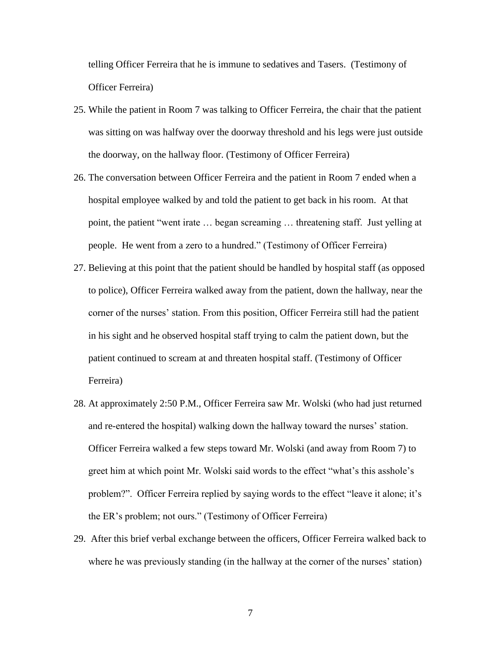telling Officer Ferreira that he is immune to sedatives and Tasers. (Testimony of Officer Ferreira)

- 25. While the patient in Room 7 was talking to Officer Ferreira, the chair that the patient was sitting on was halfway over the doorway threshold and his legs were just outside the doorway, on the hallway floor. (Testimony of Officer Ferreira)
- 26. The conversation between Officer Ferreira and the patient in Room 7 ended when a hospital employee walked by and told the patient to get back in his room. At that point, the patient "went irate … began screaming … threatening staff. Just yelling at people. He went from a zero to a hundred." (Testimony of Officer Ferreira)
- 27. Believing at this point that the patient should be handled by hospital staff (as opposed to police), Officer Ferreira walked away from the patient, down the hallway, near the corner of the nurses' station. From this position, Officer Ferreira still had the patient in his sight and he observed hospital staff trying to calm the patient down, but the patient continued to scream at and threaten hospital staff. (Testimony of Officer Ferreira)
- 28. At approximately 2:50 P.M., Officer Ferreira saw Mr. Wolski (who had just returned and re-entered the hospital) walking down the hallway toward the nurses' station. Officer Ferreira walked a few steps toward Mr. Wolski (and away from Room 7) to greet him at which point Mr. Wolski said words to the effect "what's this asshole's problem?". Officer Ferreira replied by saying words to the effect "leave it alone; it's the ER's problem; not ours." (Testimony of Officer Ferreira)
- 29. After this brief verbal exchange between the officers, Officer Ferreira walked back to where he was previously standing (in the hallway at the corner of the nurses' station)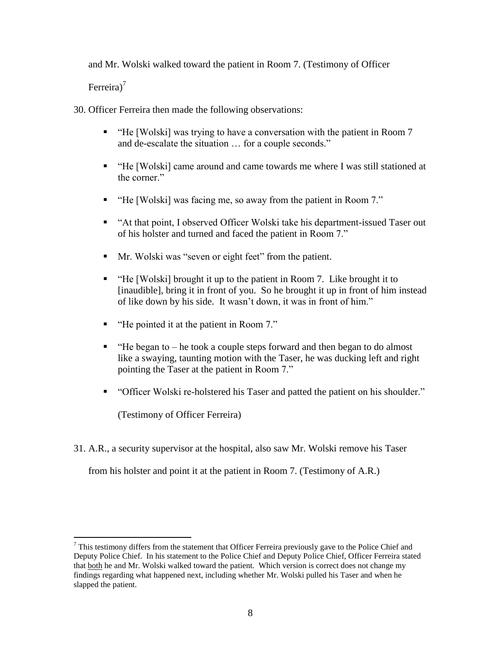and Mr. Wolski walked toward the patient in Room 7. (Testimony of Officer

Ferreira)<sup>7</sup>

 $\overline{a}$ 

30. Officer Ferreira then made the following observations:

- "He [Wolski] was trying to have a conversation with the patient in Room 7 and de-escalate the situation … for a couple seconds."
- "He [Wolski] came around and came towards me where I was still stationed at the corner."
- "He [Wolski] was facing me, so away from the patient in Room 7."
- "At that point, I observed Officer Wolski take his department-issued Taser out of his holster and turned and faced the patient in Room 7."
- Mr. Wolski was "seven or eight feet" from the patient.
- "He [Wolski] brought it up to the patient in Room 7. Like brought it to [inaudible], bring it in front of you. So he brought it up in front of him instead of like down by his side. It wasn't down, it was in front of him."
- "He pointed it at the patient in Room 7."
- $\blacksquare$  "He began to he took a couple steps forward and then began to do almost like a swaying, taunting motion with the Taser, he was ducking left and right pointing the Taser at the patient in Room 7."
- "Officer Wolski re-holstered his Taser and patted the patient on his shoulder."

(Testimony of Officer Ferreira)

31. A.R., a security supervisor at the hospital, also saw Mr. Wolski remove his Taser

from his holster and point it at the patient in Room 7. (Testimony of A.R.)

 $7$  This testimony differs from the statement that Officer Ferreira previously gave to the Police Chief and Deputy Police Chief. In his statement to the Police Chief and Deputy Police Chief, Officer Ferreira stated that both he and Mr. Wolski walked toward the patient. Which version is correct does not change my findings regarding what happened next, including whether Mr. Wolski pulled his Taser and when he slapped the patient.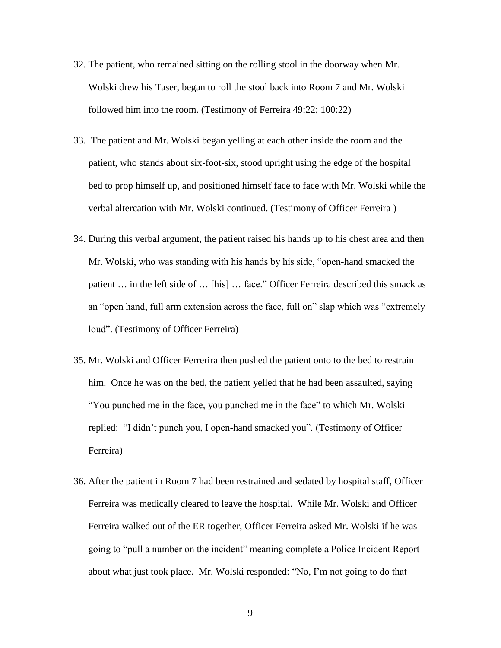- 32. The patient, who remained sitting on the rolling stool in the doorway when Mr. Wolski drew his Taser, began to roll the stool back into Room 7 and Mr. Wolski followed him into the room. (Testimony of Ferreira 49:22; 100:22)
- 33. The patient and Mr. Wolski began yelling at each other inside the room and the patient, who stands about six-foot-six, stood upright using the edge of the hospital bed to prop himself up, and positioned himself face to face with Mr. Wolski while the verbal altercation with Mr. Wolski continued. (Testimony of Officer Ferreira )
- 34. During this verbal argument, the patient raised his hands up to his chest area and then Mr. Wolski, who was standing with his hands by his side, "open-hand smacked the patient … in the left side of … [his] … face." Officer Ferreira described this smack as an "open hand, full arm extension across the face, full on" slap which was "extremely loud". (Testimony of Officer Ferreira)
- 35. Mr. Wolski and Officer Ferrerira then pushed the patient onto to the bed to restrain him. Once he was on the bed, the patient yelled that he had been assaulted, saying "You punched me in the face, you punched me in the face" to which Mr. Wolski replied: "I didn't punch you, I open-hand smacked you". (Testimony of Officer Ferreira)
- 36. After the patient in Room 7 had been restrained and sedated by hospital staff, Officer Ferreira was medically cleared to leave the hospital. While Mr. Wolski and Officer Ferreira walked out of the ER together, Officer Ferreira asked Mr. Wolski if he was going to "pull a number on the incident" meaning complete a Police Incident Report about what just took place. Mr. Wolski responded: "No, I'm not going to do that –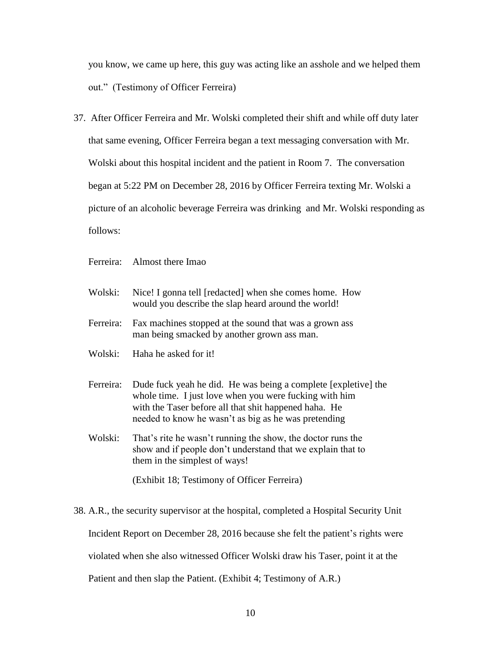you know, we came up here, this guy was acting like an asshole and we helped them out." (Testimony of Officer Ferreira)

- 37. After Officer Ferreira and Mr. Wolski completed their shift and while off duty later that same evening, Officer Ferreira began a text messaging conversation with Mr. Wolski about this hospital incident and the patient in Room 7. The conversation began at 5:22 PM on December 28, 2016 by Officer Ferreira texting Mr. Wolski a picture of an alcoholic beverage Ferreira was drinking and Mr. Wolski responding as follows:
	- Ferreira: Almost there Imao
	- Wolski: Nice! I gonna tell [redacted] when she comes home. How would you describe the slap heard around the world!
	- Ferreira: Fax machines stopped at the sound that was a grown ass man being smacked by another grown ass man.
	- Wolski: Haha he asked for it!
	- Ferreira: Dude fuck yeah he did. He was being a complete [expletive] the whole time. I just love when you were fucking with him with the Taser before all that shit happened haha. He needed to know he wasn't as big as he was pretending
	- Wolski: That's rite he wasn't running the show, the doctor runs the show and if people don't understand that we explain that to them in the simplest of ways!

(Exhibit 18; Testimony of Officer Ferreira)

38. A.R., the security supervisor at the hospital, completed a Hospital Security Unit Incident Report on December 28, 2016 because she felt the patient's rights were violated when she also witnessed Officer Wolski draw his Taser, point it at the Patient and then slap the Patient. (Exhibit 4; Testimony of A.R.)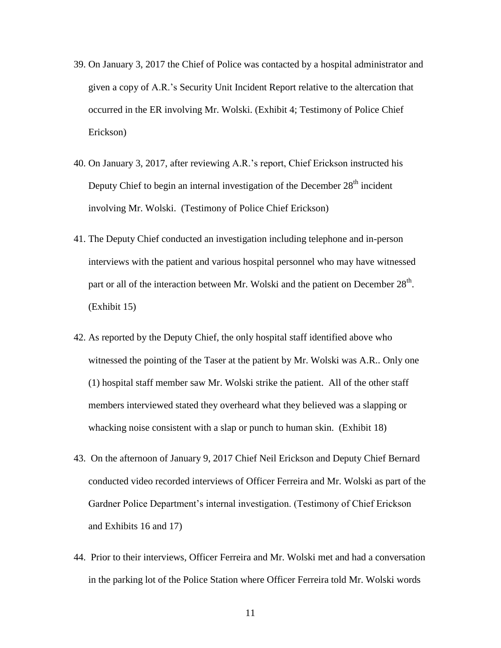- 39. On January 3, 2017 the Chief of Police was contacted by a hospital administrator and given a copy of A.R.'s Security Unit Incident Report relative to the altercation that occurred in the ER involving Mr. Wolski. (Exhibit 4; Testimony of Police Chief Erickson)
- 40. On January 3, 2017, after reviewing A.R.'s report, Chief Erickson instructed his Deputy Chief to begin an internal investigation of the December  $28<sup>th</sup>$  incident involving Mr. Wolski. (Testimony of Police Chief Erickson)
- 41. The Deputy Chief conducted an investigation including telephone and in-person interviews with the patient and various hospital personnel who may have witnessed part or all of the interaction between Mr. Wolski and the patient on December  $28<sup>th</sup>$ . (Exhibit 15)
- 42. As reported by the Deputy Chief, the only hospital staff identified above who witnessed the pointing of the Taser at the patient by Mr. Wolski was A.R.. Only one (1) hospital staff member saw Mr. Wolski strike the patient. All of the other staff members interviewed stated they overheard what they believed was a slapping or whacking noise consistent with a slap or punch to human skin. (Exhibit 18)
- 43. On the afternoon of January 9, 2017 Chief Neil Erickson and Deputy Chief Bernard conducted video recorded interviews of Officer Ferreira and Mr. Wolski as part of the Gardner Police Department's internal investigation. (Testimony of Chief Erickson and Exhibits 16 and 17)
- 44. Prior to their interviews, Officer Ferreira and Mr. Wolski met and had a conversation in the parking lot of the Police Station where Officer Ferreira told Mr. Wolski words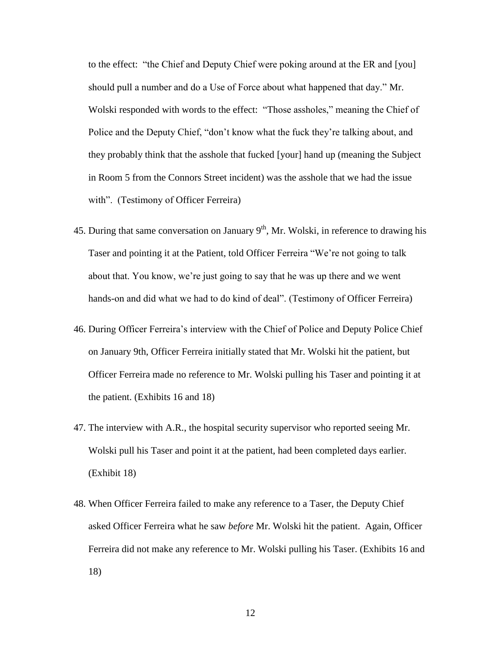to the effect: "the Chief and Deputy Chief were poking around at the ER and [you] should pull a number and do a Use of Force about what happened that day." Mr. Wolski responded with words to the effect: "Those assholes," meaning the Chief of Police and the Deputy Chief, "don't know what the fuck they're talking about, and they probably think that the asshole that fucked [your] hand up (meaning the Subject in Room 5 from the Connors Street incident) was the asshole that we had the issue with". (Testimony of Officer Ferreira)

- 45. During that same conversation on January  $9<sup>th</sup>$ , Mr. Wolski, in reference to drawing his Taser and pointing it at the Patient, told Officer Ferreira "We're not going to talk about that. You know, we're just going to say that he was up there and we went hands-on and did what we had to do kind of deal". (Testimony of Officer Ferreira)
- 46. During Officer Ferreira's interview with the Chief of Police and Deputy Police Chief on January 9th, Officer Ferreira initially stated that Mr. Wolski hit the patient, but Officer Ferreira made no reference to Mr. Wolski pulling his Taser and pointing it at the patient. (Exhibits 16 and 18)
- 47. The interview with A.R., the hospital security supervisor who reported seeing Mr. Wolski pull his Taser and point it at the patient, had been completed days earlier. (Exhibit 18)
- 48. When Officer Ferreira failed to make any reference to a Taser, the Deputy Chief asked Officer Ferreira what he saw *before* Mr. Wolski hit the patient. Again, Officer Ferreira did not make any reference to Mr. Wolski pulling his Taser. (Exhibits 16 and 18)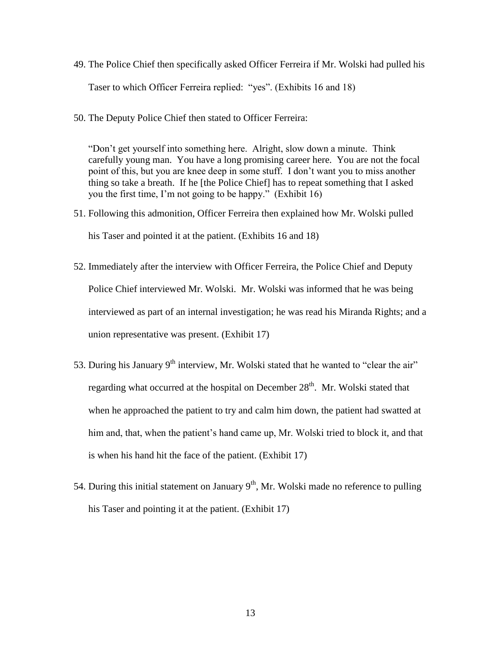- 49. The Police Chief then specifically asked Officer Ferreira if Mr. Wolski had pulled his Taser to which Officer Ferreira replied: "yes". (Exhibits 16 and 18)
- 50. The Deputy Police Chief then stated to Officer Ferreira:

"Don't get yourself into something here. Alright, slow down a minute. Think carefully young man. You have a long promising career here. You are not the focal point of this, but you are knee deep in some stuff. I don't want you to miss another thing so take a breath. If he [the Police Chief] has to repeat something that I asked you the first time, I'm not going to be happy." (Exhibit 16)

- 51. Following this admonition, Officer Ferreira then explained how Mr. Wolski pulled his Taser and pointed it at the patient. (Exhibits 16 and 18)
- 52. Immediately after the interview with Officer Ferreira, the Police Chief and Deputy Police Chief interviewed Mr. Wolski. Mr. Wolski was informed that he was being interviewed as part of an internal investigation; he was read his Miranda Rights; and a union representative was present. (Exhibit 17)
- 53. During his January  $9<sup>th</sup>$  interview, Mr. Wolski stated that he wanted to "clear the air" regarding what occurred at the hospital on December  $28<sup>th</sup>$ . Mr. Wolski stated that when he approached the patient to try and calm him down, the patient had swatted at him and, that, when the patient's hand came up, Mr. Wolski tried to block it, and that is when his hand hit the face of the patient. (Exhibit 17)
- 54. During this initial statement on January  $9<sup>th</sup>$ , Mr. Wolski made no reference to pulling his Taser and pointing it at the patient. (Exhibit 17)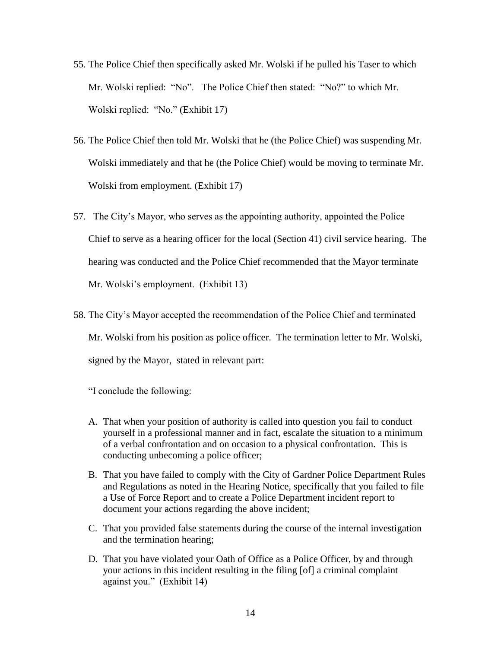- 55. The Police Chief then specifically asked Mr. Wolski if he pulled his Taser to which Mr. Wolski replied: "No". The Police Chief then stated: "No?" to which Mr. Wolski replied: "No." (Exhibit 17)
- 56. The Police Chief then told Mr. Wolski that he (the Police Chief) was suspending Mr. Wolski immediately and that he (the Police Chief) would be moving to terminate Mr. Wolski from employment. (Exhibit 17)
- 57. The City's Mayor, who serves as the appointing authority, appointed the Police Chief to serve as a hearing officer for the local (Section 41) civil service hearing. The hearing was conducted and the Police Chief recommended that the Mayor terminate Mr. Wolski's employment. (Exhibit 13)
- 58. The City's Mayor accepted the recommendation of the Police Chief and terminated Mr. Wolski from his position as police officer. The termination letter to Mr. Wolski, signed by the Mayor, stated in relevant part:

"I conclude the following:

- A. That when your position of authority is called into question you fail to conduct yourself in a professional manner and in fact, escalate the situation to a minimum of a verbal confrontation and on occasion to a physical confrontation. This is conducting unbecoming a police officer;
- B. That you have failed to comply with the City of Gardner Police Department Rules and Regulations as noted in the Hearing Notice, specifically that you failed to file a Use of Force Report and to create a Police Department incident report to document your actions regarding the above incident;
- C. That you provided false statements during the course of the internal investigation and the termination hearing;
- D. That you have violated your Oath of Office as a Police Officer, by and through your actions in this incident resulting in the filing [of] a criminal complaint against you." (Exhibit 14)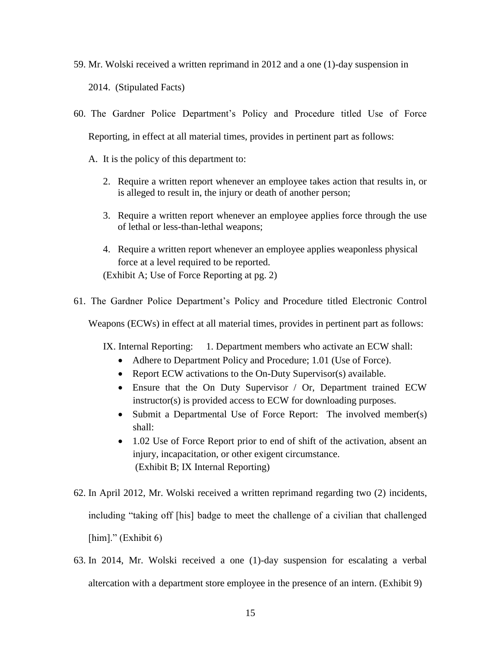- 59. Mr. Wolski received a written reprimand in 2012 and a one (1)-day suspension in 2014. (Stipulated Facts)
- 60. The Gardner Police Department's Policy and Procedure titled Use of Force Reporting, in effect at all material times, provides in pertinent part as follows:
	- A. It is the policy of this department to:
		- 2. Require a written report whenever an employee takes action that results in, or is alleged to result in, the injury or death of another person;
		- 3. Require a written report whenever an employee applies force through the use of lethal or less-than-lethal weapons;
		- 4. Require a written report whenever an employee applies weaponless physical force at a level required to be reported. (Exhibit A; Use of Force Reporting at pg. 2)
- 61. The Gardner Police Department's Policy and Procedure titled Electronic Control

Weapons (ECWs) in effect at all material times, provides in pertinent part as follows:

IX. Internal Reporting: 1. Department members who activate an ECW shall:

- Adhere to Department Policy and Procedure; 1.01 (Use of Force).
- Report ECW activations to the On-Duty Supervisor(s) available.
- Ensure that the On Duty Supervisor / Or, Department trained ECW instructor(s) is provided access to ECW for downloading purposes.
- Submit a Departmental Use of Force Report: The involved member(s) shall:
- 1.02 Use of Force Report prior to end of shift of the activation, absent an injury, incapacitation, or other exigent circumstance. (Exhibit B; IX Internal Reporting)
- 62. In April 2012, Mr. Wolski received a written reprimand regarding two (2) incidents, including "taking off [his] badge to meet the challenge of a civilian that challenged [him]." (Exhibit 6)
- 63. In 2014, Mr. Wolski received a one (1)-day suspension for escalating a verbal altercation with a department store employee in the presence of an intern. (Exhibit 9)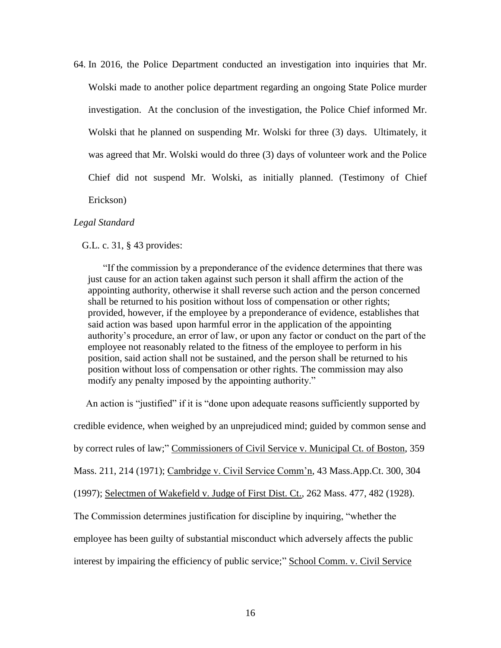64. In 2016, the Police Department conducted an investigation into inquiries that Mr. Wolski made to another police department regarding an ongoing State Police murder investigation. At the conclusion of the investigation, the Police Chief informed Mr. Wolski that he planned on suspending Mr. Wolski for three (3) days. Ultimately, it was agreed that Mr. Wolski would do three (3) days of volunteer work and the Police Chief did not suspend Mr. Wolski, as initially planned. (Testimony of Chief Erickson)

#### *Legal Standard*

G.L. c. 31, § 43 provides:

"If the commission by a preponderance of the evidence determines that there was just cause for an action taken against such person it shall affirm the action of the appointing authority, otherwise it shall reverse such action and the person concerned shall be returned to his position without loss of compensation or other rights; provided, however, if the employee by a preponderance of evidence, establishes that said action was based upon harmful error in the application of the appointing authority's procedure, an error of law, or upon any factor or conduct on the part of the employee not reasonably related to the fitness of the employee to perform in his position, said action shall not be sustained, and the person shall be returned to his position without loss of compensation or other rights. The commission may also modify any penalty imposed by the appointing authority."

 An action is "justified" if it is "done upon adequate reasons sufficiently supported by credible evidence, when weighed by an unprejudiced mind; guided by common sense and by correct rules of law;" Commissioners of Civil Service v. Municipal Ct. of Boston, 359 Mass. 211, 214 (1971); Cambridge v. Civil Service Comm'n, 43 Mass.App.Ct. 300, 304 (1997); Selectmen of Wakefield v. Judge of First Dist. Ct., 262 Mass. 477, 482 (1928). The Commission determines justification for discipline by inquiring, "whether the employee has been guilty of substantial misconduct which adversely affects the public interest by impairing the efficiency of public service;" School Comm. v. Civil Service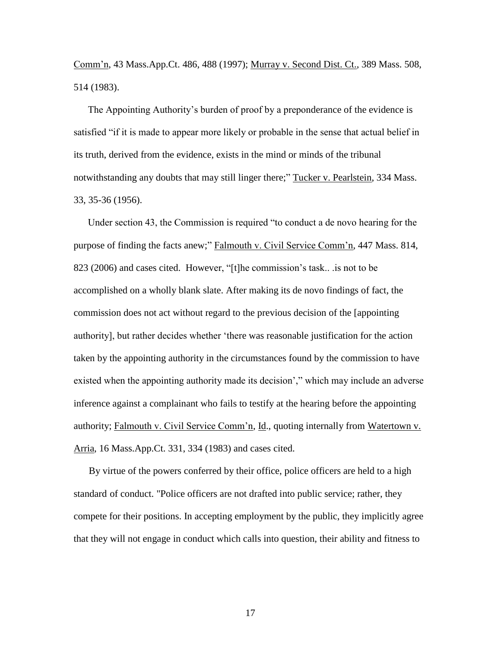Comm'n, 43 Mass.App.Ct. 486, 488 (1997); Murray v. Second Dist. Ct., 389 Mass. 508, 514 (1983).

The Appointing Authority's burden of proof by a preponderance of the evidence is satisfied "if it is made to appear more likely or probable in the sense that actual belief in its truth, derived from the evidence, exists in the mind or minds of the tribunal notwithstanding any doubts that may still linger there;" Tucker v. Pearlstein, 334 Mass. 33, 35-36 (1956).

Under section 43, the Commission is required "to conduct a de novo hearing for the purpose of finding the facts anew;" Falmouth v. Civil Service Comm'n, 447 Mass. 814, 823 (2006) and cases cited. However, "[t]he commission's task.. .is not to be accomplished on a wholly blank slate. After making its de novo findings of fact, the commission does not act without regard to the previous decision of the [appointing authority], but rather decides whether 'there was reasonable justification for the action taken by the appointing authority in the circumstances found by the commission to have existed when the appointing authority made its decision'," which may include an adverse inference against a complainant who fails to testify at the hearing before the appointing authority; Falmouth v. Civil Service Comm'n, Id., quoting internally from Watertown v. Arria, 16 Mass.App.Ct. 331, 334 (1983) and cases cited.

By virtue of the powers conferred by their office, police officers are held to a high standar[d](http://sll.gvpi.net/document.php?id=csc:csc14k-46&type=hitlist&num=15#hit5) of conduct. "Police officers are not drafted into public service; rather, they compete for their positions. In accepting employment by the public, they implicitly agree that they will not engage in conduct which calls into question, their ability and fitness to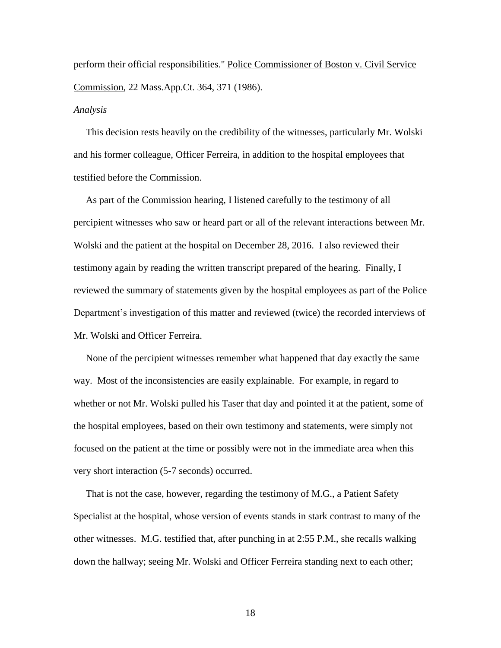perform their official responsibilities." Police Commissioner of Boston v. Civil Service Commission, 22 Mass.App.Ct. 364, 371 (1986).

#### *Analysis*

 This decision rests heavily on the credibility of the witnesses, particularly Mr. Wolski and his former colleague, Officer Ferreira, in addition to the hospital employees that testified before the Commission.

 As part of the Commission hearing, I listened carefully to the testimony of all percipient witnesses who saw or heard part or all of the relevant interactions between Mr. Wolski and the patient at the hospital on December 28, 2016. I also reviewed their testimony again by reading the written transcript prepared of the hearing. Finally, I reviewed the summary of statements given by the hospital employees as part of the Police Department's investigation of this matter and reviewed (twice) the recorded interviews of Mr. Wolski and Officer Ferreira.

 None of the percipient witnesses remember what happened that day exactly the same way. Most of the inconsistencies are easily explainable. For example, in regard to whether or not Mr. Wolski pulled his Taser that day and pointed it at the patient, some of the hospital employees, based on their own testimony and statements, were simply not focused on the patient at the time or possibly were not in the immediate area when this very short interaction (5-7 seconds) occurred.

 That is not the case, however, regarding the testimony of M.G., a Patient Safety Specialist at the hospital, whose version of events stands in stark contrast to many of the other witnesses. M.G. testified that, after punching in at 2:55 P.M., she recalls walking down the hallway; seeing Mr. Wolski and Officer Ferreira standing next to each other;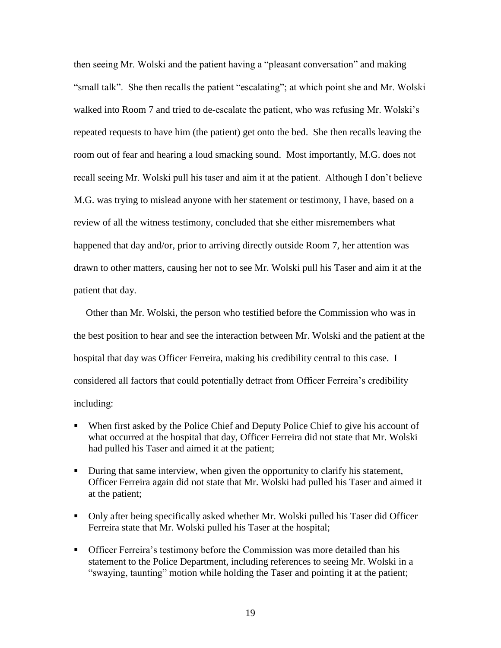then seeing Mr. Wolski and the patient having a "pleasant conversation" and making "small talk". She then recalls the patient "escalating"; at which point she and Mr. Wolski walked into Room 7 and tried to de-escalate the patient, who was refusing Mr. Wolski's repeated requests to have him (the patient) get onto the bed. She then recalls leaving the room out of fear and hearing a loud smacking sound. Most importantly, M.G. does not recall seeing Mr. Wolski pull his taser and aim it at the patient. Although I don't believe M.G. was trying to mislead anyone with her statement or testimony, I have, based on a review of all the witness testimony, concluded that she either misremembers what happened that day and/or, prior to arriving directly outside Room 7, her attention was drawn to other matters, causing her not to see Mr. Wolski pull his Taser and aim it at the patient that day.

 Other than Mr. Wolski, the person who testified before the Commission who was in the best position to hear and see the interaction between Mr. Wolski and the patient at the hospital that day was Officer Ferreira, making his credibility central to this case. I considered all factors that could potentially detract from Officer Ferreira's credibility including:

- When first asked by the Police Chief and Deputy Police Chief to give his account of what occurred at the hospital that day, Officer Ferreira did not state that Mr. Wolski had pulled his Taser and aimed it at the patient;
- During that same interview, when given the opportunity to clarify his statement, Officer Ferreira again did not state that Mr. Wolski had pulled his Taser and aimed it at the patient;
- Only after being specifically asked whether Mr. Wolski pulled his Taser did Officer Ferreira state that Mr. Wolski pulled his Taser at the hospital;
- Officer Ferreira's testimony before the Commission was more detailed than his statement to the Police Department, including references to seeing Mr. Wolski in a "swaying, taunting" motion while holding the Taser and pointing it at the patient;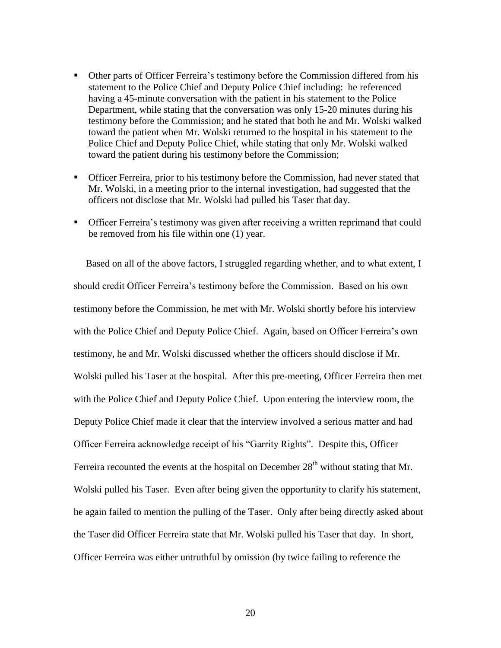- Other parts of Officer Ferreira's testimony before the Commission differed from his statement to the Police Chief and Deputy Police Chief including: he referenced having a 45-minute conversation with the patient in his statement to the Police Department, while stating that the conversation was only 15-20 minutes during his testimony before the Commission; and he stated that both he and Mr. Wolski walked toward the patient when Mr. Wolski returned to the hospital in his statement to the Police Chief and Deputy Police Chief, while stating that only Mr. Wolski walked toward the patient during his testimony before the Commission;
- **•** Officer Ferreira, prior to his testimony before the Commission, had never stated that Mr. Wolski, in a meeting prior to the internal investigation, had suggested that the officers not disclose that Mr. Wolski had pulled his Taser that day.
- Officer Ferreira's testimony was given after receiving a written reprimand that could be removed from his file within one (1) year.

 Based on all of the above factors, I struggled regarding whether, and to what extent, I should credit Officer Ferreira's testimony before the Commission. Based on his own testimony before the Commission, he met with Mr. Wolski shortly before his interview with the Police Chief and Deputy Police Chief. Again, based on Officer Ferreira's own testimony, he and Mr. Wolski discussed whether the officers should disclose if Mr. Wolski pulled his Taser at the hospital. After this pre-meeting, Officer Ferreira then met with the Police Chief and Deputy Police Chief. Upon entering the interview room, the Deputy Police Chief made it clear that the interview involved a serious matter and had Officer Ferreira acknowledge receipt of his "Garrity Rights". Despite this, Officer Ferreira recounted the events at the hospital on December  $28<sup>th</sup>$  without stating that Mr. Wolski pulled his Taser. Even after being given the opportunity to clarify his statement, he again failed to mention the pulling of the Taser. Only after being directly asked about the Taser did Officer Ferreira state that Mr. Wolski pulled his Taser that day. In short, Officer Ferreira was either untruthful by omission (by twice failing to reference the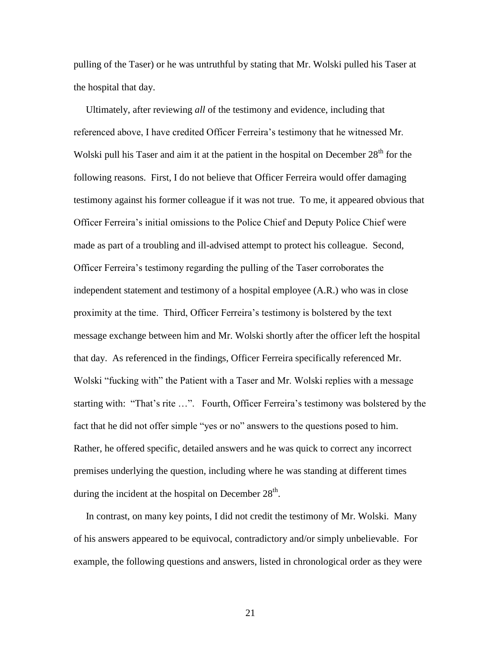pulling of the Taser) or he was untruthful by stating that Mr. Wolski pulled his Taser at the hospital that day.

 Ultimately, after reviewing *all* of the testimony and evidence, including that referenced above, I have credited Officer Ferreira's testimony that he witnessed Mr. Wolski pull his Taser and aim it at the patient in the hospital on December  $28<sup>th</sup>$  for the following reasons. First, I do not believe that Officer Ferreira would offer damaging testimony against his former colleague if it was not true. To me, it appeared obvious that Officer Ferreira's initial omissions to the Police Chief and Deputy Police Chief were made as part of a troubling and ill-advised attempt to protect his colleague. Second, Officer Ferreira's testimony regarding the pulling of the Taser corroborates the independent statement and testimony of a hospital employee (A.R.) who was in close proximity at the time. Third, Officer Ferreira's testimony is bolstered by the text message exchange between him and Mr. Wolski shortly after the officer left the hospital that day. As referenced in the findings, Officer Ferreira specifically referenced Mr. Wolski "fucking with" the Patient with a Taser and Mr. Wolski replies with a message starting with: "That's rite …". Fourth, Officer Ferreira's testimony was bolstered by the fact that he did not offer simple "yes or no" answers to the questions posed to him. Rather, he offered specific, detailed answers and he was quick to correct any incorrect premises underlying the question, including where he was standing at different times during the incident at the hospital on December  $28<sup>th</sup>$ .

 In contrast, on many key points, I did not credit the testimony of Mr. Wolski. Many of his answers appeared to be equivocal, contradictory and/or simply unbelievable. For example, the following questions and answers, listed in chronological order as they were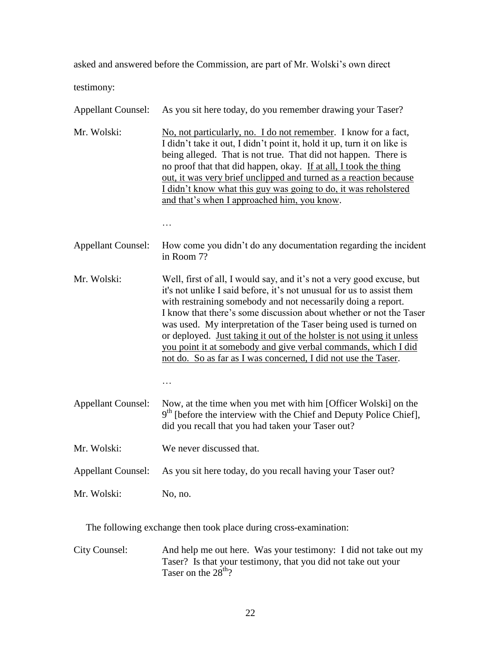asked and answered before the Commission, are part of Mr. Wolski's own direct

testimony:

| <b>Appellant Counsel:</b> | As you sit here today, do you remember drawing your Taser?                                                                                                                                                                                                                                                                                                                                                                                                                                                                                                                  |
|---------------------------|-----------------------------------------------------------------------------------------------------------------------------------------------------------------------------------------------------------------------------------------------------------------------------------------------------------------------------------------------------------------------------------------------------------------------------------------------------------------------------------------------------------------------------------------------------------------------------|
| Mr. Wolski:               | No, not particularly, no. I do not remember. I know for a fact,<br>I didn't take it out, I didn't point it, hold it up, turn it on like is<br>being alleged. That is not true. That did not happen. There is<br>no proof that that did happen, okay. If at all, I took the thing<br>out, it was very brief unclipped and turned as a reaction because<br>I didn't know what this guy was going to do, it was reholstered<br>and that's when I approached him, you know.<br>.                                                                                                |
| <b>Appellant Counsel:</b> | How come you didn't do any documentation regarding the incident<br>in Room 7?                                                                                                                                                                                                                                                                                                                                                                                                                                                                                               |
| Mr. Wolski:               | Well, first of all, I would say, and it's not a very good excuse, but<br>it's not unlike I said before, it's not unusual for us to assist them<br>with restraining somebody and not necessarily doing a report.<br>I know that there's some discussion about whether or not the Taser<br>was used. My interpretation of the Taser being used is turned on<br>or deployed. Just taking it out of the holster is not using it unless<br>you point it at somebody and give verbal commands, which I did<br>not do. So as far as I was concerned, I did not use the Taser.<br>. |
| <b>Appellant Counsel:</b> | Now, at the time when you met with him [Officer Wolski] on the<br>9 <sup>th</sup> [before the interview with the Chief and Deputy Police Chief],<br>did you recall that you had taken your Taser out?                                                                                                                                                                                                                                                                                                                                                                       |
| Mr. Wolski:               | We never discussed that.                                                                                                                                                                                                                                                                                                                                                                                                                                                                                                                                                    |
| <b>Appellant Counsel:</b> | As you sit here today, do you recall having your Taser out?                                                                                                                                                                                                                                                                                                                                                                                                                                                                                                                 |
| Mr. Wolski:               | No, no.                                                                                                                                                                                                                                                                                                                                                                                                                                                                                                                                                                     |

The following exchange then took place during cross-examination:

City Counsel: And help me out here. Was your testimony: I did not take out my Taser? Is that your testimony, that you did not take out your Taser on the  $28<sup>th</sup>$ ?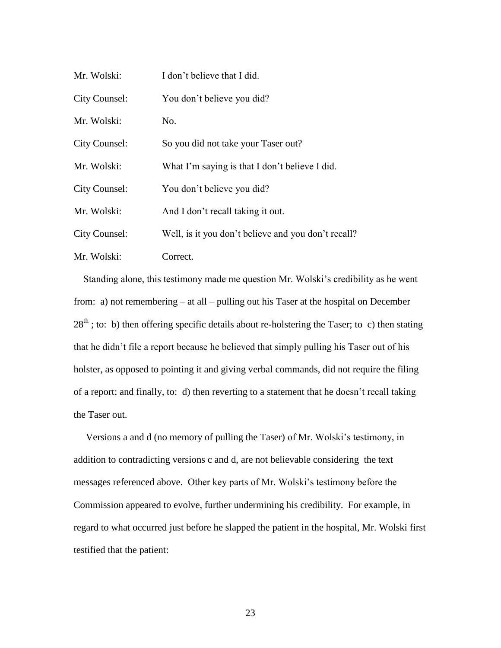| Mr. Wolski:   | I don't believe that I did.                         |
|---------------|-----------------------------------------------------|
| City Counsel: | You don't believe you did?                          |
| Mr. Wolski:   | No.                                                 |
| City Counsel: | So you did not take your Taser out?                 |
| Mr. Wolski:   | What I'm saying is that I don't believe I did.      |
| City Counsel: | You don't believe you did?                          |
| Mr. Wolski:   | And I don't recall taking it out.                   |
| City Counsel: | Well, is it you don't believe and you don't recall? |
| Mr. Wolski:   | Correct.                                            |

 Standing alone, this testimony made me question Mr. Wolski's credibility as he went from: a) not remembering – at all – pulling out his Taser at the hospital on December  $28<sup>th</sup>$ ; to: b) then offering specific details about re-holstering the Taser; to c) then stating that he didn't file a report because he believed that simply pulling his Taser out of his holster, as opposed to pointing it and giving verbal commands, did not require the filing of a report; and finally, to: d) then reverting to a statement that he doesn't recall taking the Taser out.

 Versions a and d (no memory of pulling the Taser) of Mr. Wolski's testimony, in addition to contradicting versions c and d, are not believable considering the text messages referenced above. Other key parts of Mr. Wolski's testimony before the Commission appeared to evolve, further undermining his credibility. For example, in regard to what occurred just before he slapped the patient in the hospital, Mr. Wolski first testified that the patient: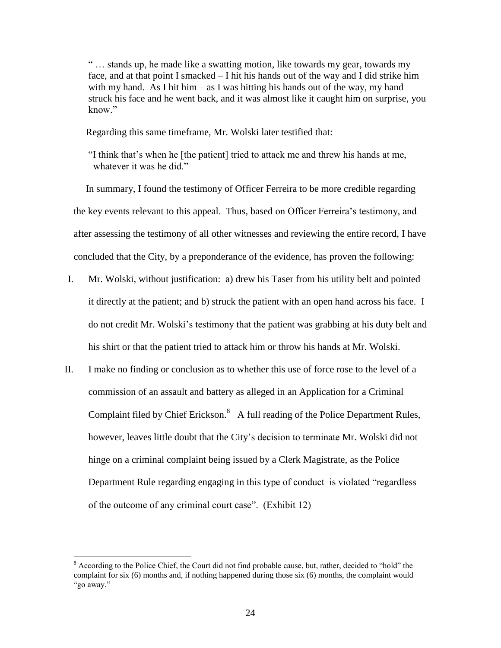" … stands up, he made like a swatting motion, like towards my gear, towards my face, and at that point I smacked – I hit his hands out of the way and I did strike him with my hand. As I hit him – as I was hitting his hands out of the way, my hand struck his face and he went back, and it was almost like it caught him on surprise, you know."

Regarding this same timeframe, Mr. Wolski later testified that:

"I think that's when he [the patient] tried to attack me and threw his hands at me, whatever it was he did."

 In summary, I found the testimony of Officer Ferreira to be more credible regarding the key events relevant to this appeal. Thus, based on Officer Ferreira's testimony, and after assessing the testimony of all other witnesses and reviewing the entire record, I have concluded that the City, by a preponderance of the evidence, has proven the following:

- I. Mr. Wolski, without justification: a) drew his Taser from his utility belt and pointed it directly at the patient; and b) struck the patient with an open hand across his face. I do not credit Mr. Wolski's testimony that the patient was grabbing at his duty belt and his shirt or that the patient tried to attack him or throw his hands at Mr. Wolski.
- II. I make no finding or conclusion as to whether this use of force rose to the level of a commission of an assault and battery as alleged in an Application for a Criminal Complaint filed by Chief Erickson.<sup>8</sup> A full reading of the Police Department Rules, however, leaves little doubt that the City's decision to terminate Mr. Wolski did not hinge on a criminal complaint being issued by a Clerk Magistrate, as the Police Department Rule regarding engaging in this type of conduct is violated "regardless of the outcome of any criminal court case". (Exhibit 12)

 $\overline{a}$ 

 $8$  According to the Police Chief, the Court did not find probable cause, but, rather, decided to "hold" the complaint for six (6) months and, if nothing happened during those six (6) months, the complaint would "go away."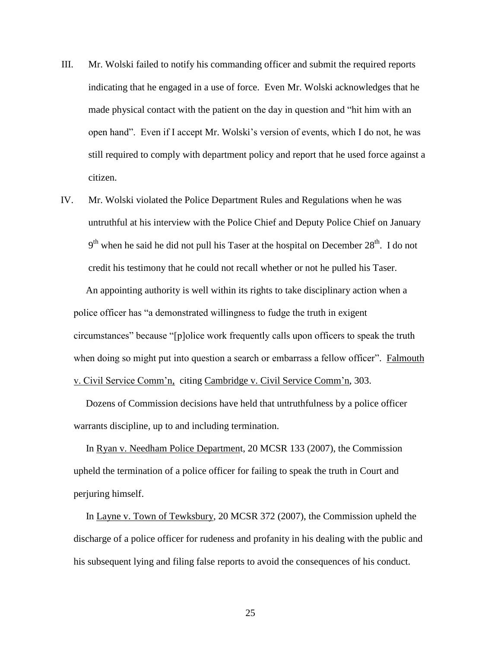- III. Mr. Wolski failed to notify his commanding officer and submit the required reports indicating that he engaged in a use of force. Even Mr. Wolski acknowledges that he made physical contact with the patient on the day in question and "hit him with an open hand". Even if I accept Mr. Wolski's version of events, which I do not, he was still required to comply with department policy and report that he used force against a citizen.
- IV. Mr. Wolski violated the Police Department Rules and Regulations when he was untruthful at his interview with the Police Chief and Deputy Police Chief on January  $9<sup>th</sup>$  when he said he did not pull his Taser at the hospital on December 28<sup>th</sup>. I do not credit his testimony that he could not recall whether or not he pulled his Taser.

 An appointing authority is well within its rights to take disciplinary action when a police officer has "a demonstrated willingness to fudge the truth in exigent circumstances" because "[p]olice work frequently calls upon officers to speak the truth when doing so might put into question a search or embarrass a fellow officer". Falmouth v. Civil Service Comm'n, citing Cambridge v. Civil Service Comm'n, 303.

 Dozens of Commission decisions have held that untruthfulness by a police officer warrants discipline, up to and including termination.

 In Ryan v. Needham Police Department, 20 MCSR 133 (2007), the Commission upheld the termination of a police officer for failing to speak the truth in Court and perjuring himself.

 In Layne v. Town of Tewksbury, 20 MCSR 372 (2007), the Commission upheld the discharge of a police officer for rudeness and profanity in his dealing with the public and his subsequent lying and filing false reports to avoid the consequences of his conduct.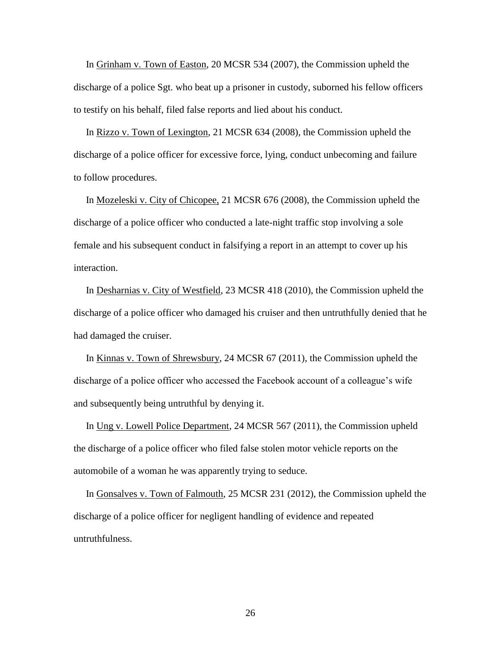In Grinham v. Town of Easton, 20 MCSR 534 (2007), the Commission upheld the discharge of a police Sgt. who beat up a prisoner in custody, suborned his fellow officers to testify on his behalf, filed false reports and lied about his conduct.

 In Rizzo v. Town of Lexington, 21 MCSR 634 (2008), the Commission upheld the discharge of a police officer for excessive force, lying, conduct unbecoming and failure to follow procedures.

 In Mozeleski v. City of Chicopee, 21 MCSR 676 (2008), the Commission upheld the discharge of a police officer who conducted a late-night traffic stop involving a sole female and his subsequent conduct in falsifying a report in an attempt to cover up his interaction.

 In Desharnias v. City of Westfield, 23 MCSR 418 (2010), the Commission upheld the discharge of a police officer who damaged his cruiser and then untruthfully denied that he had damaged the cruiser.

 In Kinnas v. Town of Shrewsbury, 24 MCSR 67 (2011), the Commission upheld the discharge of a police officer who accessed the Facebook account of a colleague's wife and subsequently being untruthful by denying it.

 In Ung v. Lowell Police Department, 24 MCSR 567 (2011), the Commission upheld the discharge of a police officer who filed false stolen motor vehicle reports on the automobile of a woman he was apparently trying to seduce.

 In Gonsalves v. Town of Falmouth, 25 MCSR 231 (2012), the Commission upheld the discharge of a police officer for negligent handling of evidence and repeated untruthfulness.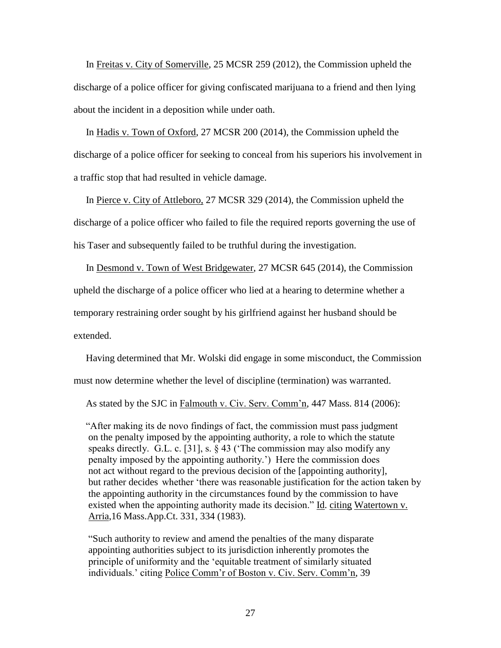In Freitas v. City of Somerville, 25 MCSR 259 (2012), the Commission upheld the discharge of a police officer for giving confiscated marijuana to a friend and then lying about the incident in a deposition while under oath.

 In Hadis v. Town of Oxford, 27 MCSR 200 (2014), the Commission upheld the discharge of a police officer for seeking to conceal from his superiors his involvement in a traffic stop that had resulted in vehicle damage.

 In Pierce v. City of Attleboro, 27 MCSR 329 (2014), the Commission upheld the discharge of a police officer who failed to file the required reports governing the use of his Taser and subsequently failed to be truthful during the investigation.

 In Desmond v. Town of West Bridgewater, 27 MCSR 645 (2014), the Commission upheld the discharge of a police officer who lied at a hearing to determine whether a temporary restraining order sought by his girlfriend against her husband should be extended.

 Having determined that Mr. Wolski did engage in some misconduct, the Commission must now determine whether the level of discipline (termination) was warranted.

As stated by the SJC in Falmouth v. Civ. Serv. Comm'n, 447 Mass. 814 (2006):

 "After making its de novo findings of fact, the commission must pass judgment on the penalty imposed by the appointing authority, a role to which the statute speaks directly. G.L. c. [31], s. § 43 ('The commission may also modify any penalty imposed by the appointing authority.') Here the commission does not act without regard to the previous decision of the [appointing authority], but rather decides whether 'there was reasonable justification for the action taken by the appointing authority in the circumstances found by the commission to have existed when the appointing authority made its decision." Id. citing Watertown v. Arria,16 Mass.App.Ct. 331, 334 (1983).

"Such authority to review and amend the penalties of the many disparate appointing authorities subject to its jurisdiction inherently promotes the principle of uniformity and the 'equitable treatment of similarly situated individuals.' citing Police Comm'r of Boston v. Civ. Serv. Comm'n, 39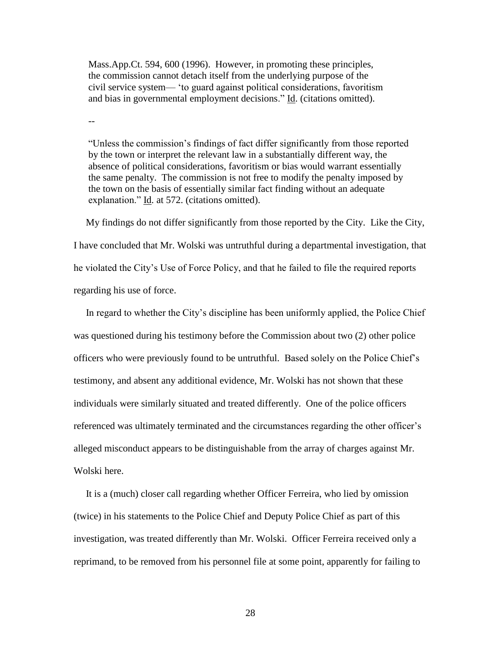Mass.App.Ct. 594, 600 (1996). However, in promoting these principles, the commission cannot detach itself from the underlying purpose of the civil service system— 'to guard against political considerations, favoritism and bias in governmental employment decisions." Id. (citations omitted).

--

"Unless the commission's findings of fact differ significantly from those reported by the town or interpret the relevant law in a substantially different way, the absence of political considerations, favoritism or bias would warrant essentially the same penalty. The commission is not free to modify the penalty imposed by the town on the basis of essentially similar fact finding without an adequate explanation." Id. at 572. (citations omitted).

 My findings do not differ significantly from those reported by the City. Like the City, I have concluded that Mr. Wolski was untruthful during a departmental investigation, that he violated the City's Use of Force Policy, and that he failed to file the required reports regarding his use of force.

 In regard to whether the City's discipline has been uniformly applied, the Police Chief was questioned during his testimony before the Commission about two (2) other police officers who were previously found to be untruthful. Based solely on the Police Chief's testimony, and absent any additional evidence, Mr. Wolski has not shown that these individuals were similarly situated and treated differently. One of the police officers referenced was ultimately terminated and the circumstances regarding the other officer's alleged misconduct appears to be distinguishable from the array of charges against Mr. Wolski here.

 It is a (much) closer call regarding whether Officer Ferreira, who lied by omission (twice) in his statements to the Police Chief and Deputy Police Chief as part of this investigation, was treated differently than Mr. Wolski. Officer Ferreira received only a reprimand, to be removed from his personnel file at some point, apparently for failing to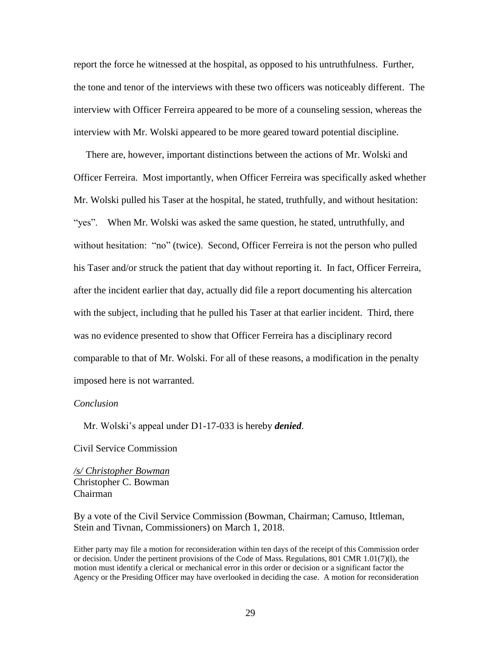report the force he witnessed at the hospital, as opposed to his untruthfulness. Further, the tone and tenor of the interviews with these two officers was noticeably different. The interview with Officer Ferreira appeared to be more of a counseling session, whereas the interview with Mr. Wolski appeared to be more geared toward potential discipline.

 There are, however, important distinctions between the actions of Mr. Wolski and Officer Ferreira. Most importantly, when Officer Ferreira was specifically asked whether Mr. Wolski pulled his Taser at the hospital, he stated, truthfully, and without hesitation: "yes". When Mr. Wolski was asked the same question, he stated, untruthfully, and without hesitation: "no" (twice). Second, Officer Ferreira is not the person who pulled his Taser and/or struck the patient that day without reporting it. In fact, Officer Ferreira, after the incident earlier that day, actually did file a report documenting his altercation with the subject, including that he pulled his Taser at that earlier incident. Third, there was no evidence presented to show that Officer Ferreira has a disciplinary record comparable to that of Mr. Wolski. For all of these reasons, a modification in the penalty imposed here is not warranted.

### *Conclusion*

Mr. Wolski's appeal under D1-17-033 is hereby *denied*.

Civil Service Commission

*/s/ Christopher Bowman* Christopher C. Bowman Chairman

By a vote of the Civil Service Commission (Bowman, Chairman; Camuso, Ittleman, Stein and Tivnan, Commissioners) on March 1, 2018.

Either party may file a motion for reconsideration within ten days of the receipt of this Commission order or decision. Under the pertinent provisions of the Code of Mass. Regulations, 801 CMR 1.01(7)(l), the motion must identify a clerical or mechanical error in this order or decision or a significant factor the Agency or the Presiding Officer may have overlooked in deciding the case. A motion for reconsideration